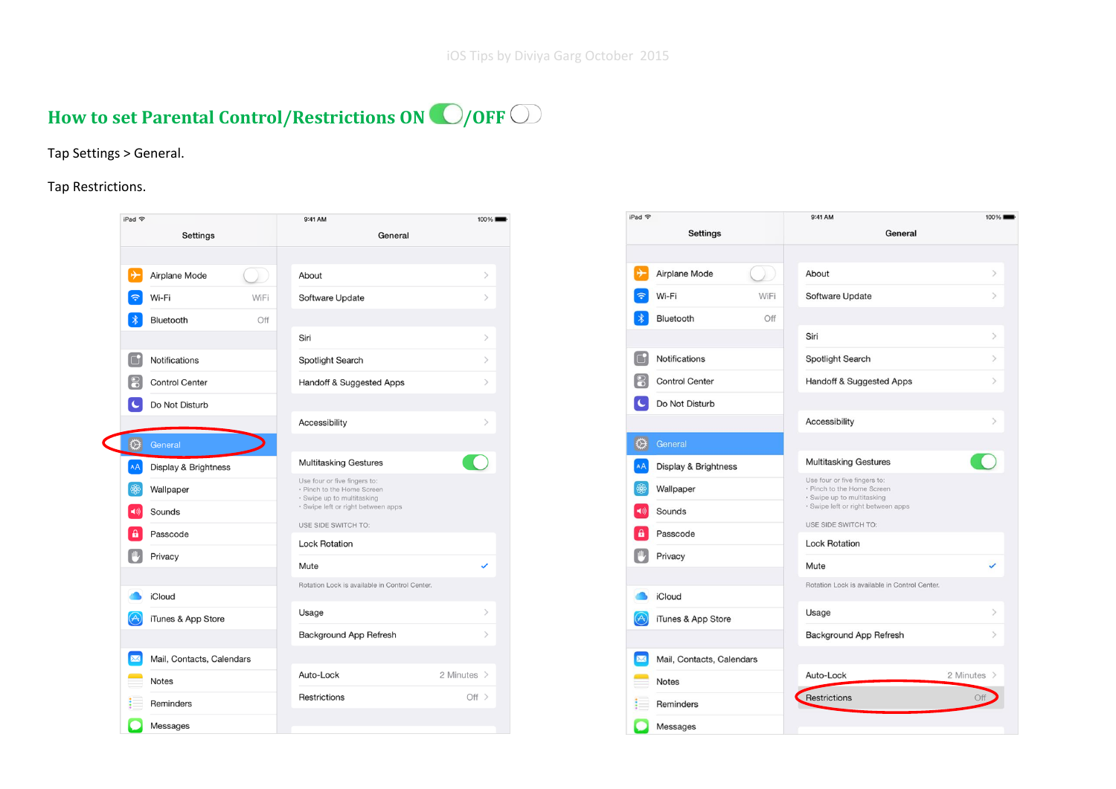# How to set Parental Control/Restrictions ON **O**/OFF  $\bigcirc$

### Tap Settings > General.

### Tap Restrictions.

| iPad 今                  |                           |  | 9:41 AM                                                                                                                        |                                                                                              | 100%                             |
|-------------------------|---------------------------|--|--------------------------------------------------------------------------------------------------------------------------------|----------------------------------------------------------------------------------------------|----------------------------------|
|                         | Settings                  |  | General                                                                                                                        |                                                                                              |                                  |
|                         |                           |  |                                                                                                                                |                                                                                              |                                  |
| ⊬                       | Airplane Mode             |  | About                                                                                                                          |                                                                                              | $\,>\,$                          |
|                         | Wi-Fi                     |  | Software Update                                                                                                                |                                                                                              | $\mathcal{P}$                    |
|                         | Bluetooth                 |  |                                                                                                                                |                                                                                              |                                  |
|                         |                           |  | Siri                                                                                                                           |                                                                                              | $\mathcal{P}$                    |
| l Ch                    | Notifications             |  | Spotlight Search                                                                                                               |                                                                                              | $\mathcal{P}$                    |
|                         | <b>Control Center</b>     |  | Handoff & Suggested Apps                                                                                                       |                                                                                              | $\mathcal{P}$                    |
|                         | Do Not Disturb            |  |                                                                                                                                |                                                                                              |                                  |
|                         |                           |  | Accessibility                                                                                                                  |                                                                                              | $\left\langle \right\rangle$     |
| ⇎                       | General                   |  |                                                                                                                                |                                                                                              |                                  |
| AA                      | Display & Brightness      |  | <b>Multitasking Gestures</b>                                                                                                   |                                                                                              |                                  |
|                         | Wallpaper                 |  | Use four or five fingers to:<br>• Pinch to the Home Screen<br>· Swipe up to multitasking<br>· Swipe left or right between apps |                                                                                              |                                  |
| $\blacktriangleleft$ )) | Sounds                    |  |                                                                                                                                |                                                                                              |                                  |
|                         | Passcode                  |  |                                                                                                                                |                                                                                              |                                  |
|                         | Privacy                   |  |                                                                                                                                |                                                                                              |                                  |
|                         |                           |  | Mute                                                                                                                           |                                                                                              |                                  |
|                         | <b>iCloud</b>             |  |                                                                                                                                |                                                                                              |                                  |
| $(\forall \cdot$        | iTunes & App Store        |  | Usage                                                                                                                          |                                                                                              | $\left\langle \right\rangle$     |
|                         |                           |  | Background App Refresh                                                                                                         |                                                                                              | $\mathcal{P}$                    |
| ⊠                       | Mail, Contacts, Calendars |  |                                                                                                                                |                                                                                              |                                  |
|                         | Notes                     |  | Auto-Lock                                                                                                                      |                                                                                              |                                  |
|                         | Reminders                 |  | Restrictions                                                                                                                   |                                                                                              |                                  |
|                         | <b>Messages</b>           |  |                                                                                                                                |                                                                                              |                                  |
|                         |                           |  | WiFi<br>Off                                                                                                                    | USE SIDE SWITCH TO:<br><b>Lock Rotation</b><br>Rotation Lock is available in Control Center. | 2 Minutes $\rightarrow$<br>Off > |

| iPad → |                           | 9:41 AM                                                                                  | 100%                              |
|--------|---------------------------|------------------------------------------------------------------------------------------|-----------------------------------|
|        | <b>Settings</b>           | General                                                                                  |                                   |
|        |                           |                                                                                          |                                   |
|        | Airplane Mode             | About                                                                                    | $\left\langle \right\rangle$      |
|        | Wi-Fi<br>WiFi             | Software Update                                                                          | $\mathcal{P}$                     |
|        | Bluetooth<br>Off          |                                                                                          |                                   |
|        |                           | Siri                                                                                     | $\left\langle \right\rangle$      |
|        | Notifications             | Spotlight Search                                                                         | $\mathcal{P}$                     |
|        | <b>Control Center</b>     | Handoff & Suggested Apps                                                                 | $\mathcal{P}$                     |
|        | Do Not Disturb            |                                                                                          |                                   |
|        |                           | Accessibility                                                                            | $\rightarrow$                     |
|        | General                   |                                                                                          |                                   |
| AA     | Display & Brightness      | <b>Multitasking Gestures</b>                                                             |                                   |
|        | Wallpaper                 | Use four or five fingers to:<br>· Pinch to the Home Screen<br>· Swipe up to multitasking |                                   |
|        | Sounds                    | · Swipe left or right between apps                                                       |                                   |
|        | Passcode                  | USE SIDE SWITCH TO:                                                                      |                                   |
|        | Privacy                   | <b>Lock Rotation</b>                                                                     |                                   |
|        |                           | Mute                                                                                     | ✓                                 |
|        | iCloud                    | Rotation Lock is available in Control Center.                                            |                                   |
|        | iTunes & App Store        | Usage                                                                                    | $\mathcal{P}$                     |
|        |                           | Background App Refresh                                                                   | $\left\langle \cdot\right\rangle$ |
|        | Mail, Contacts, Calendars |                                                                                          |                                   |
|        | <b>Notes</b>              | Auto-Lock                                                                                | 2 Minutes >                       |
|        | Reminders                 | Restrictions                                                                             |                                   |
|        | Messages                  |                                                                                          |                                   |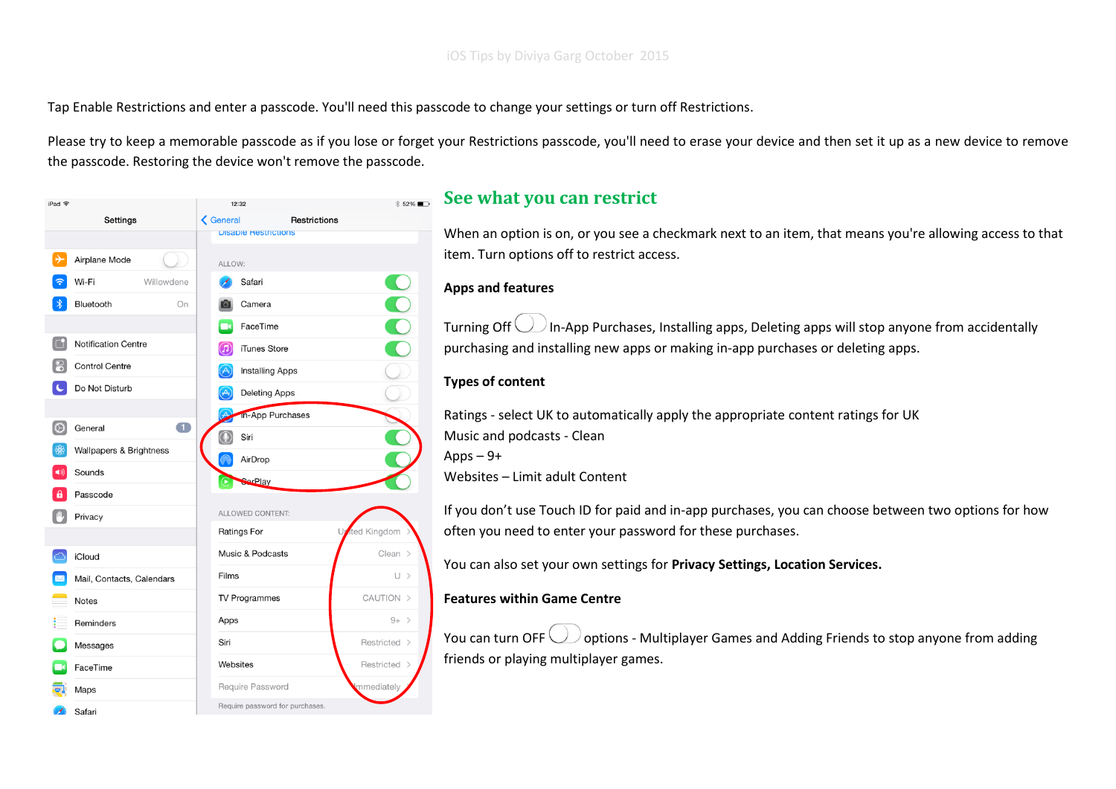Tap Enable Restrictions and enter a passcode. You'll need this passcode to change your settings or turn off Restrictions.

Please try to keep a memorable passcode as if you lose or forget your Restrictions passcode, you'll need to erase your device and then set it up as a new device to remove the passcode. Restoring the device won't remove the passcode.



### **See what you can restrict**

When an option is on, or you see a checkmark next to an item, that means you're allowing access to that item. Turn options off to restrict access.

#### **Apps and features**

Turning Off  $\Box$  In-App Purchases, Installing apps, Deleting apps will stop anyone from accidentally purchasing and installing new apps or making in-app purchases or deleting apps.

#### **Types of content**

Ratings - select UK to automatically apply the appropriate content ratings for UK Music and podcasts - Clean Apps  $-9+$ 

Websites – Limit adult Content

If you don't use Touch ID for paid and in-app purchases, you can choose between two options for how often you need to enter your password for these purchases.

You can also set your own settings for **Privacy Settings, Location Services.**

#### **Features within Game Centre**

You can turn OFF  $\bigcup$  options - Multiplayer Games and Adding Friends to stop anyone from adding friends or playing multiplayer games.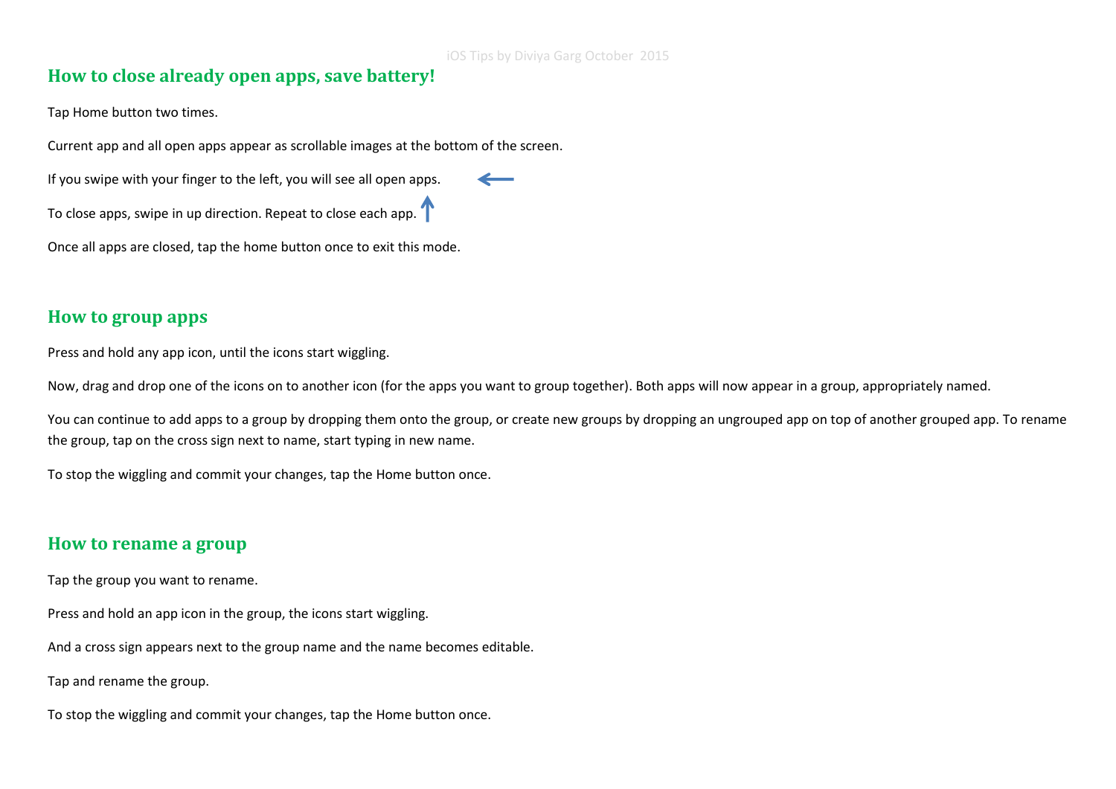# **How to close already open apps, save battery!**

Tap Home button two times.

Current app and all open apps appear as scrollable images at the bottom of the screen.

If you swipe with your finger to the left, you will see all open apps.

To close apps, swipe in up direction. Repeat to close each app.  $\Gamma$ 

Once all apps are closed, tap the home button once to exit this mode.

### **How to group apps**

Press and hold any app icon, until the icons start wiggling.

Now, drag and drop one of the icons on to another icon (for the apps you want to group together). Both apps will now appear in a group, appropriately named.

You can continue to add apps to a group by dropping them onto the group, or create new groups by dropping an ungrouped app on top of another grouped app. To rename the group, tap on the cross sign next to name, start typing in new name.

To stop the wiggling and commit your changes, tap the Home button once.

### **How to rename a group**

Tap the group you want to rename.

Press and hold an app icon in the group, the icons start wiggling.

And a cross sign appears next to the group name and the name becomes editable.

Tap and rename the group.

To stop the wiggling and commit your changes, tap the Home button once.